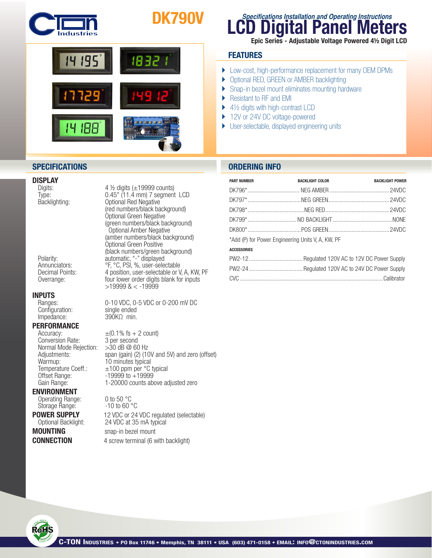

# DK790V



## **DISPLAY**<br>Digits:

## **INPUTS**<br>
Ranges:

Configuration: single ended<br>Impedance: 390KQ min. Impedance:

## **PERFORMANCE**<br>Accuracy:

Conversion Rate: 3 per second<br>Normal Mode Rejection: > 30 dB @ 60 Hz Normal Mode Rejection: Warmup: 10 minutes typical<br>Temperature Coeff.: ±100 ppm per °C Offset Range: 19999 to +19999

#### ENVIRONMENT

Operating Range:  $0 \text{ to } 50 \text{ °C}$ <br>Storage Range:  $-10 \text{ to } 60 \text{ °C}$ Storage Range:

4  $\frac{1}{2}$  digits ( $\pm$ 19999 counts) Type: 0.45" (11.4 mm) 7 segment LCD<br>Backlighting: 0ptional Red Negative Backlighting:<br>
(red numbers/black background)<br>
(red numbers/black background)<br>
Optional Green Negative<br>
(green numbers/black background)<br>
Optional Amber Negative<br>
(amber numbers/black background)<br>
Optional Green Positive<br> Polarity: automatic, "-" displayed Annunciators: <sup>or, or, or, 95, %, user-selectable</sup> Decimal Points: 4 position, user-selectable or V, A, KW, PF Overrange: four lower order digits blank for inputs  $>19999$  & < -19999

0-10 VDC, 0-5 VDC or 0-200 mV DC<br>single ended

 $\pm (0.1\% \text{ fs} + 2 \text{ count})$ <br>3 per second Adjustments: span (gain) (2) (10V and 5V) and zero (offset)<br>Warmup: 10 minutes typical Temperature Coeff.:  $\pm 100$  ppm per °C typical Gain Range: 1-20000 counts above adjusted zero

**POWER SUPPLY** 12 VDC or 24 VDC regulated (selectable)<br>Optional Backlight: 24 VDC at 35 mA typical 24 VDC at 35 mA typical

**MOUNTING** snap-in bezel mount **CONNECTION** 4 screw terminal (6 with backlight)

## **LCD Digital Panel Meters Specifications Installation and Operating Instructions**

Epic Series - Adjustable Voltage Powered 4½ Digit LCD

## **FEATURES**

- } Low-cost, high-performance replacement for many OEM DPMs
- ▶ Optional RED, GREEN or AMBER backlighting
- ▶ Snap-in bezel mount eliminates mounting hardware
- ▶ Resistant to RF and EMI
- $\blacktriangleright$  4½ digits with high-contrast LCD
- ▶ 12V or 24V DC voltage-powered
- } User-selectable, displayed engineering units

### **SPECIFICATIONS ORDERING INFO**

| <b>PART NUMBER</b>                                | <b>BACKLIGHT COLOR</b> | <b>BACKLIGHT POWER</b> |
|---------------------------------------------------|------------------------|------------------------|
|                                                   |                        |                        |
|                                                   |                        |                        |
|                                                   |                        |                        |
|                                                   |                        |                        |
|                                                   |                        |                        |
| *Add (P) for Power Engineering Units V, A, KW, PF |                        |                        |
| <b>ACCESSORIES</b>                                |                        |                        |
|                                                   |                        |                        |
|                                                   |                        |                        |

CVC ..............................................................................................Calibrator